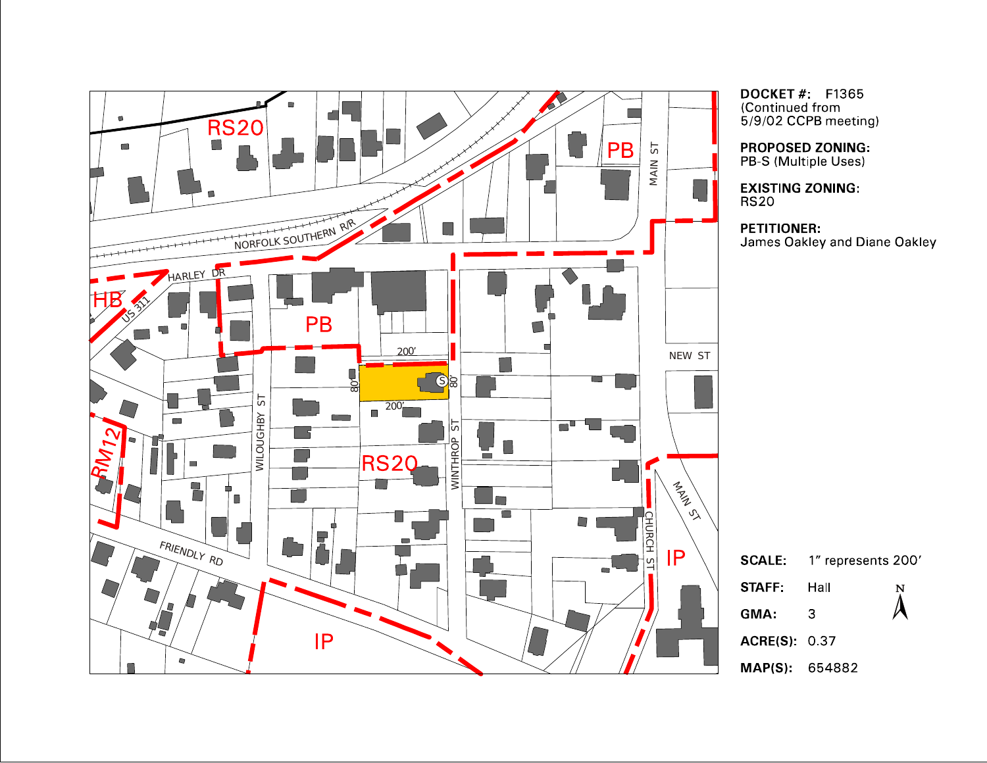

**DOCKET #: F1365** (Continued from 5/9/02 CCPB meeting)

**PROPOSED ZONING:** PB-S (Multiple Uses)

**EXISTING ZONING:**  $RS20$ 

## **PETITIONER:**

James Oakley and Diane Oakley

|                     | <b>SCALE:</b> 1" represents 200' |   |
|---------------------|----------------------------------|---|
| <b>STAFF:</b>       | Hall                             | Ņ |
| GMA.                | З                                |   |
| <b>ACRE(S)</b> 0.37 |                                  |   |
|                     |                                  |   |

MAP(S): 654882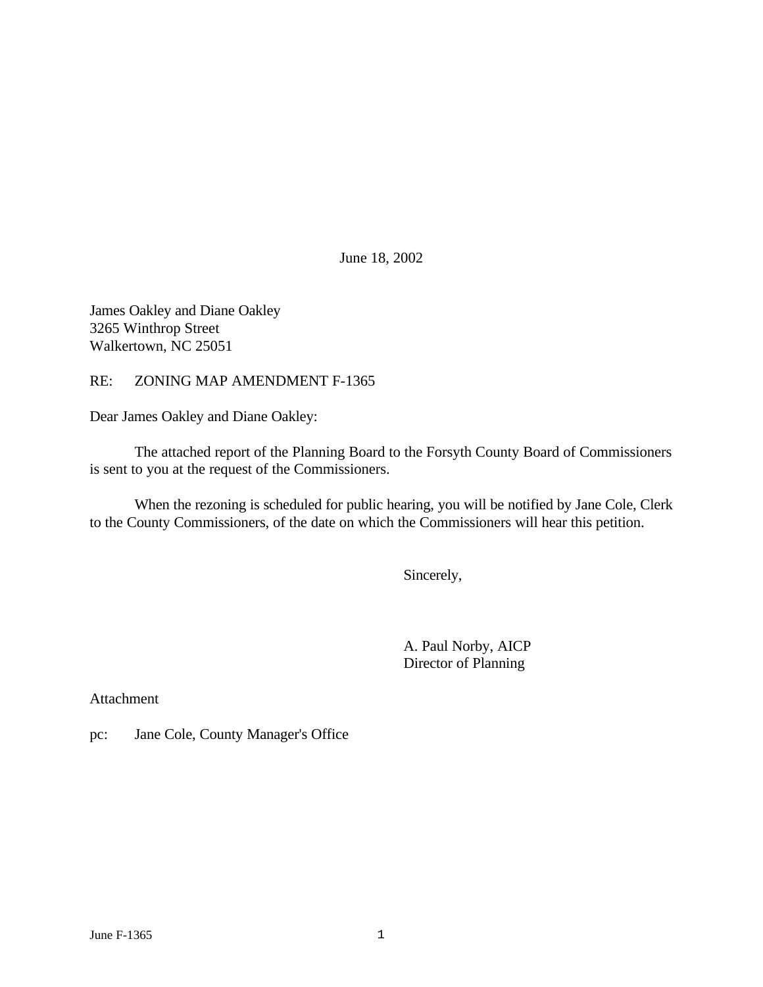June 18, 2002

James Oakley and Diane Oakley 3265 Winthrop Street Walkertown, NC 25051

RE: ZONING MAP AMENDMENT F-1365

Dear James Oakley and Diane Oakley:

The attached report of the Planning Board to the Forsyth County Board of Commissioners is sent to you at the request of the Commissioners.

When the rezoning is scheduled for public hearing, you will be notified by Jane Cole, Clerk to the County Commissioners, of the date on which the Commissioners will hear this petition.

Sincerely,

A. Paul Norby, AICP Director of Planning

Attachment

pc: Jane Cole, County Manager's Office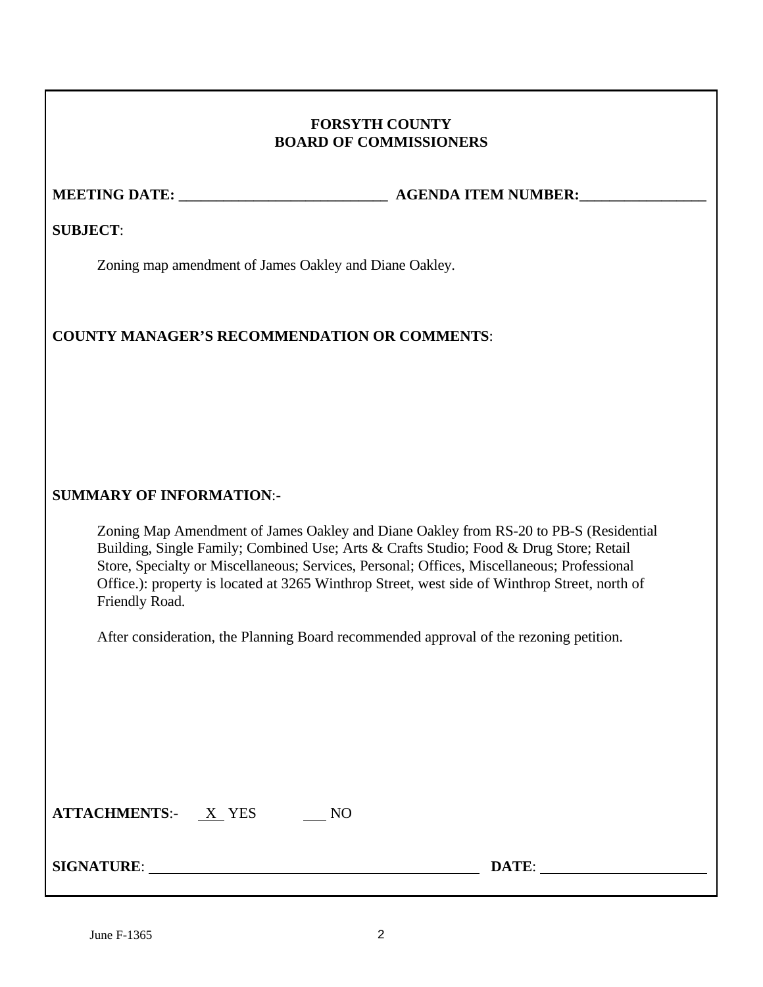# **FORSYTH COUNTY BOARD OF COMMISSIONERS**

**MEETING DATE: \_\_\_\_\_\_\_\_\_\_\_\_\_\_\_\_\_\_\_\_\_\_\_\_\_\_\_\_ AGENDA ITEM NUMBER:\_\_\_\_\_\_\_\_\_\_\_\_\_\_\_\_\_**

**SUBJECT**:

Zoning map amendment of James Oakley and Diane Oakley.

# **COUNTY MANAGER'S RECOMMENDATION OR COMMENTS**:

# **SUMMARY OF INFORMATION**:-

Zoning Map Amendment of James Oakley and Diane Oakley from RS-20 to PB-S (Residential Building, Single Family; Combined Use; Arts & Crafts Studio; Food & Drug Store; Retail Store, Specialty or Miscellaneous; Services, Personal; Offices, Miscellaneous; Professional Office.): property is located at 3265 Winthrop Street, west side of Winthrop Street, north of Friendly Road.

After consideration, the Planning Board recommended approval of the rezoning petition.

| <b>ATTACHMENTS:-</b> | <b>YES</b> |  |
|----------------------|------------|--|
|----------------------|------------|--|

**SIGNATURE**: **DATE**: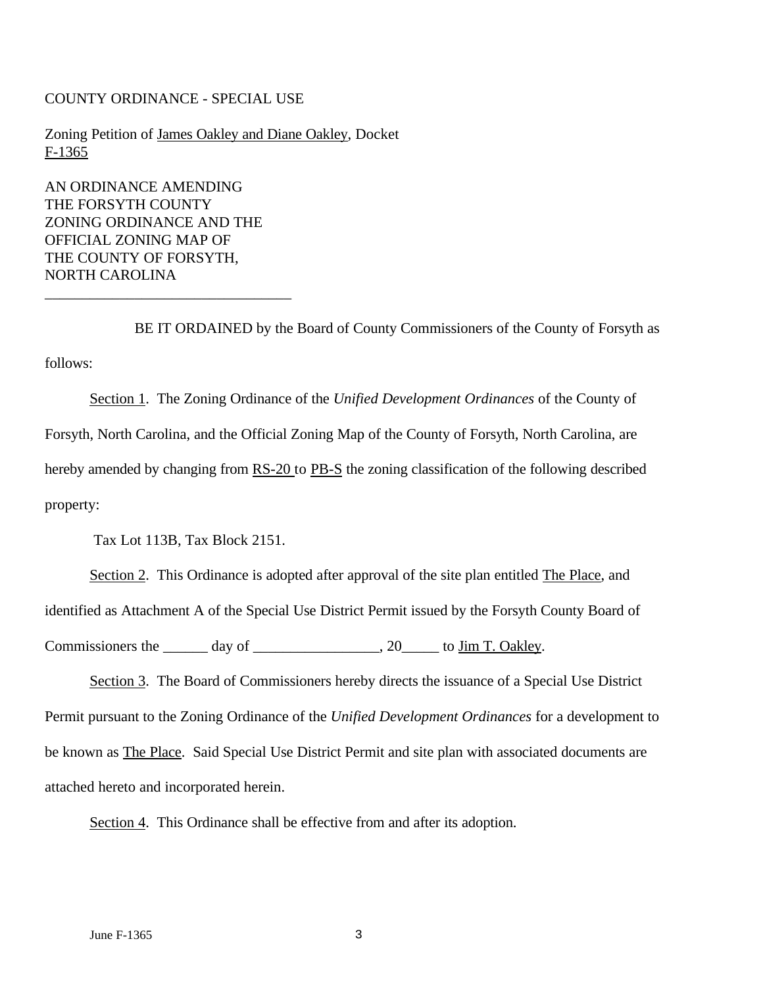#### COUNTY ORDINANCE - SPECIAL USE

Zoning Petition of James Oakley and Diane Oakley, Docket F-1365

AN ORDINANCE AMENDING THE FORSYTH COUNTY ZONING ORDINANCE AND THE OFFICIAL ZONING MAP OF THE COUNTY OF FORSYTH, NORTH CAROLINA

\_\_\_\_\_\_\_\_\_\_\_\_\_\_\_\_\_\_\_\_\_\_\_\_\_\_\_\_\_\_\_\_\_

BE IT ORDAINED by the Board of County Commissioners of the County of Forsyth as follows:

Section 1. The Zoning Ordinance of the *Unified Development Ordinances* of the County of Forsyth, North Carolina, and the Official Zoning Map of the County of Forsyth, North Carolina, are hereby amended by changing from RS-20 to PB-S the zoning classification of the following described property:

Tax Lot 113B, Tax Block 2151.

Section 2. This Ordinance is adopted after approval of the site plan entitled The Place, and identified as Attachment A of the Special Use District Permit issued by the Forsyth County Board of Commissioners the day of  $\qquad \qquad$  20 to Jim T. Oakley.

Section 3. The Board of Commissioners hereby directs the issuance of a Special Use District Permit pursuant to the Zoning Ordinance of the *Unified Development Ordinances* for a development to be known as The Place. Said Special Use District Permit and site plan with associated documents are attached hereto and incorporated herein.

Section 4. This Ordinance shall be effective from and after its adoption.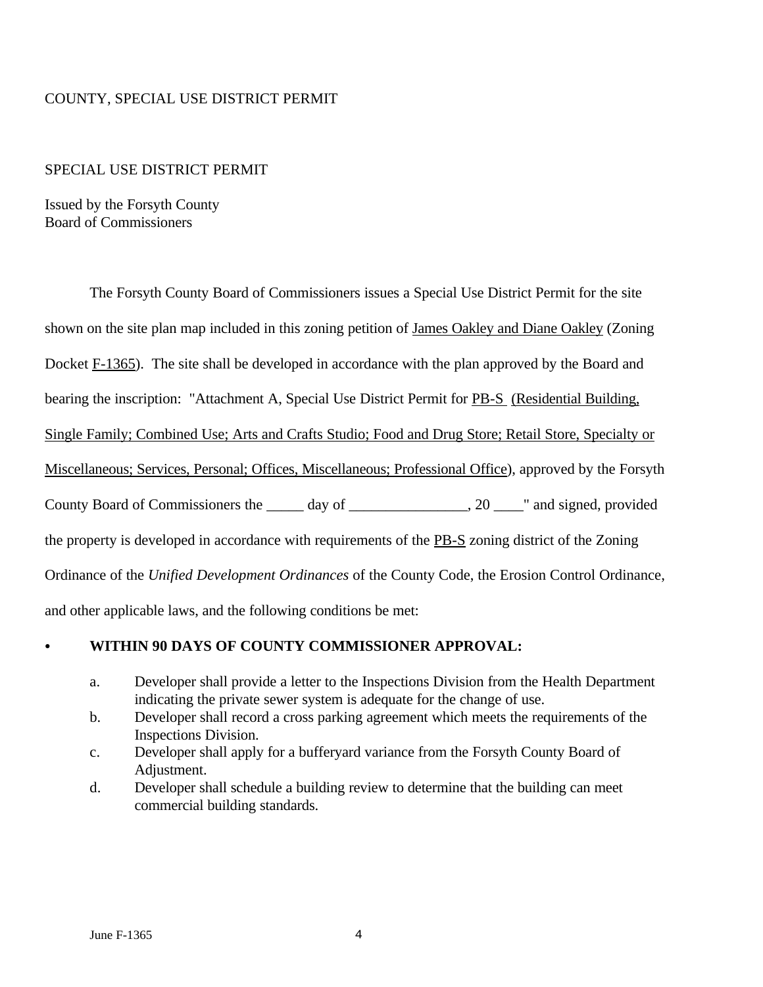## COUNTY, SPECIAL USE DISTRICT PERMIT

#### SPECIAL USE DISTRICT PERMIT

Issued by the Forsyth County Board of Commissioners

The Forsyth County Board of Commissioners issues a Special Use District Permit for the site

shown on the site plan map included in this zoning petition of James Oakley and Diane Oakley (Zoning

Docket F-1365). The site shall be developed in accordance with the plan approved by the Board and

bearing the inscription: "Attachment A, Special Use District Permit for PB-S (Residential Building,

Single Family; Combined Use; Arts and Crafts Studio; Food and Drug Store; Retail Store, Specialty or

Miscellaneous; Services, Personal; Offices, Miscellaneous; Professional Office), approved by the Forsyth

County Board of Commissioners the day of \_\_\_\_\_\_\_\_\_\_\_\_\_\_\_\_\_, 20 \_\_\_\_\_\_\_\_\_\_\_\_\_, and signed, provided

the property is developed in accordance with requirements of the PB-S zoning district of the Zoning

Ordinance of the *Unified Development Ordinances* of the County Code, the Erosion Control Ordinance,

and other applicable laws, and the following conditions be met:

### C **WITHIN 90 DAYS OF COUNTY COMMISSIONER APPROVAL:**

- a. Developer shall provide a letter to the Inspections Division from the Health Department indicating the private sewer system is adequate for the change of use.
- b. Developer shall record a cross parking agreement which meets the requirements of the Inspections Division.
- c. Developer shall apply for a bufferyard variance from the Forsyth County Board of Adjustment.
- d. Developer shall schedule a building review to determine that the building can meet commercial building standards.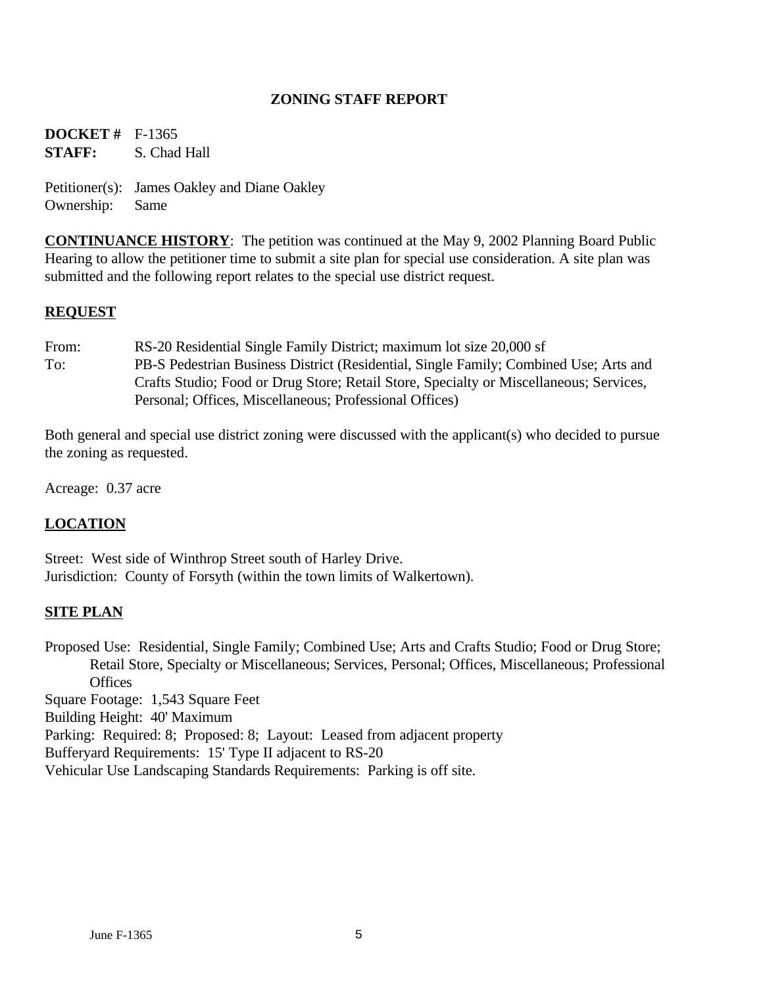## **ZONING STAFF REPORT**

**DOCKET #** F-1365 **STAFF:** S. Chad Hall

Petitioner(s): James Oakley and Diane Oakley Ownership: Same

**CONTINUANCE HISTORY**: The petition was continued at the May 9, 2002 Planning Board Public Hearing to allow the petitioner time to submit a site plan for special use consideration. A site plan was submitted and the following report relates to the special use district request.

#### **REQUEST**

From: RS-20 Residential Single Family District; maximum lot size 20,000 sf To: PB-S Pedestrian Business District (Residential, Single Family; Combined Use; Arts and Crafts Studio; Food or Drug Store; Retail Store, Specialty or Miscellaneous; Services, Personal; Offices, Miscellaneous; Professional Offices)

Both general and special use district zoning were discussed with the applicant(s) who decided to pursue the zoning as requested.

Acreage: 0.37 acre

# **LOCATION**

Street: West side of Winthrop Street south of Harley Drive. Jurisdiction: County of Forsyth (within the town limits of Walkertown).

#### **SITE PLAN**

Proposed Use: Residential, Single Family; Combined Use; Arts and Crafts Studio; Food or Drug Store; Retail Store, Specialty or Miscellaneous; Services, Personal; Offices, Miscellaneous; Professional **Offices** 

Square Footage: 1,543 Square Feet

Building Height: 40' Maximum

Parking: Required: 8; Proposed: 8; Layout: Leased from adjacent property

Bufferyard Requirements: 15' Type II adjacent to RS-20

Vehicular Use Landscaping Standards Requirements: Parking is off site.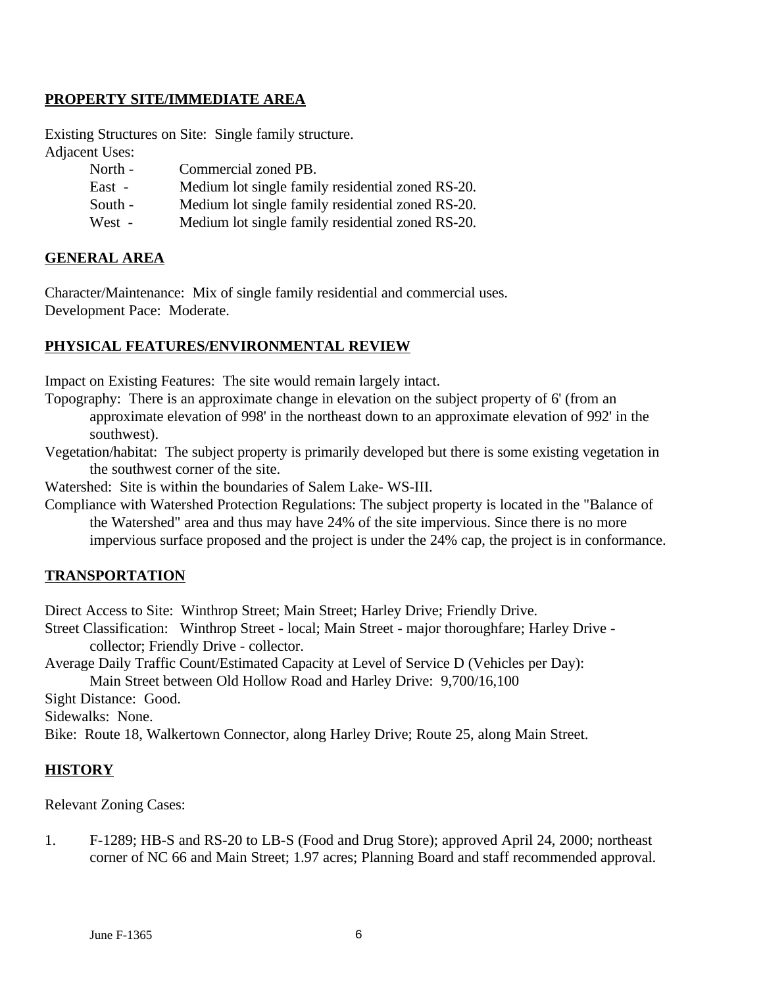## **PROPERTY SITE/IMMEDIATE AREA**

Existing Structures on Site: Single family structure. Adjacent Uses:

| North - | Commercial zoned PB.                              |
|---------|---------------------------------------------------|
| East -  | Medium lot single family residential zoned RS-20. |
| South - | Medium lot single family residential zoned RS-20. |
| West -  | Medium lot single family residential zoned RS-20. |

#### **GENERAL AREA**

Character/Maintenance: Mix of single family residential and commercial uses. Development Pace: Moderate.

#### **PHYSICAL FEATURES/ENVIRONMENTAL REVIEW**

Impact on Existing Features: The site would remain largely intact.

- Topography: There is an approximate change in elevation on the subject property of 6' (from an approximate elevation of 998' in the northeast down to an approximate elevation of 992' in the southwest).
- Vegetation/habitat: The subject property is primarily developed but there is some existing vegetation in the southwest corner of the site.

Watershed: Site is within the boundaries of Salem Lake- WS-III.

Compliance with Watershed Protection Regulations: The subject property is located in the "Balance of the Watershed" area and thus may have 24% of the site impervious. Since there is no more impervious surface proposed and the project is under the 24% cap, the project is in conformance.

#### **TRANSPORTATION**

Direct Access to Site: Winthrop Street; Main Street; Harley Drive; Friendly Drive.

- Street Classification: Winthrop Street local; Main Street major thoroughfare; Harley Drive collector; Friendly Drive - collector.
- Average Daily Traffic Count/Estimated Capacity at Level of Service D (Vehicles per Day):

Main Street between Old Hollow Road and Harley Drive: 9,700/16,100

Sight Distance: Good.

Sidewalks: None.

Bike: Route 18, Walkertown Connector, along Harley Drive; Route 25, along Main Street.

#### **HISTORY**

Relevant Zoning Cases:

1. F-1289; HB-S and RS-20 to LB-S (Food and Drug Store); approved April 24, 2000; northeast corner of NC 66 and Main Street; 1.97 acres; Planning Board and staff recommended approval.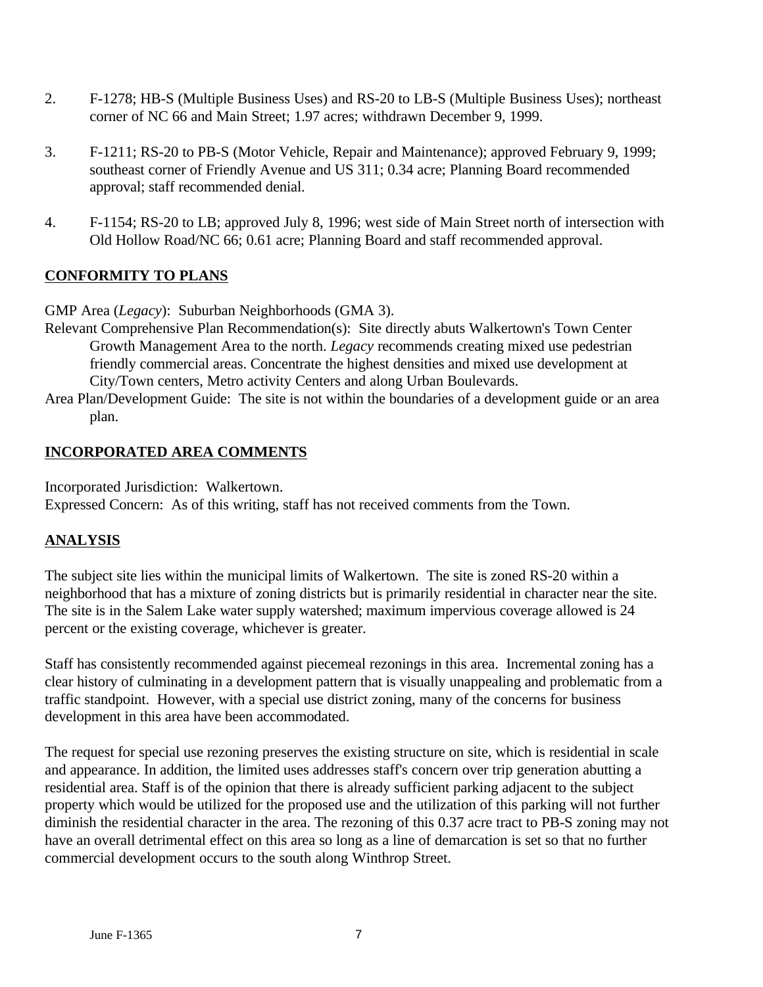- 2. F-1278; HB-S (Multiple Business Uses) and RS-20 to LB-S (Multiple Business Uses); northeast corner of NC 66 and Main Street; 1.97 acres; withdrawn December 9, 1999.
- 3. F-1211; RS-20 to PB-S (Motor Vehicle, Repair and Maintenance); approved February 9, 1999; southeast corner of Friendly Avenue and US 311; 0.34 acre; Planning Board recommended approval; staff recommended denial.
- 4. F-1154; RS-20 to LB; approved July 8, 1996; west side of Main Street north of intersection with Old Hollow Road/NC 66; 0.61 acre; Planning Board and staff recommended approval.

# **CONFORMITY TO PLANS**

GMP Area (*Legacy*): Suburban Neighborhoods (GMA 3).

- Relevant Comprehensive Plan Recommendation(s): Site directly abuts Walkertown's Town Center Growth Management Area to the north. *Legacy* recommends creating mixed use pedestrian friendly commercial areas. Concentrate the highest densities and mixed use development at City/Town centers, Metro activity Centers and along Urban Boulevards.
- Area Plan/Development Guide: The site is not within the boundaries of a development guide or an area plan.

# **INCORPORATED AREA COMMENTS**

Incorporated Jurisdiction: Walkertown. Expressed Concern: As of this writing, staff has not received comments from the Town.

# **ANALYSIS**

The subject site lies within the municipal limits of Walkertown. The site is zoned RS-20 within a neighborhood that has a mixture of zoning districts but is primarily residential in character near the site. The site is in the Salem Lake water supply watershed; maximum impervious coverage allowed is 24 percent or the existing coverage, whichever is greater.

Staff has consistently recommended against piecemeal rezonings in this area. Incremental zoning has a clear history of culminating in a development pattern that is visually unappealing and problematic from a traffic standpoint. However, with a special use district zoning, many of the concerns for business development in this area have been accommodated.

The request for special use rezoning preserves the existing structure on site, which is residential in scale and appearance. In addition, the limited uses addresses staff's concern over trip generation abutting a residential area. Staff is of the opinion that there is already sufficient parking adjacent to the subject property which would be utilized for the proposed use and the utilization of this parking will not further diminish the residential character in the area. The rezoning of this 0.37 acre tract to PB-S zoning may not have an overall detrimental effect on this area so long as a line of demarcation is set so that no further commercial development occurs to the south along Winthrop Street.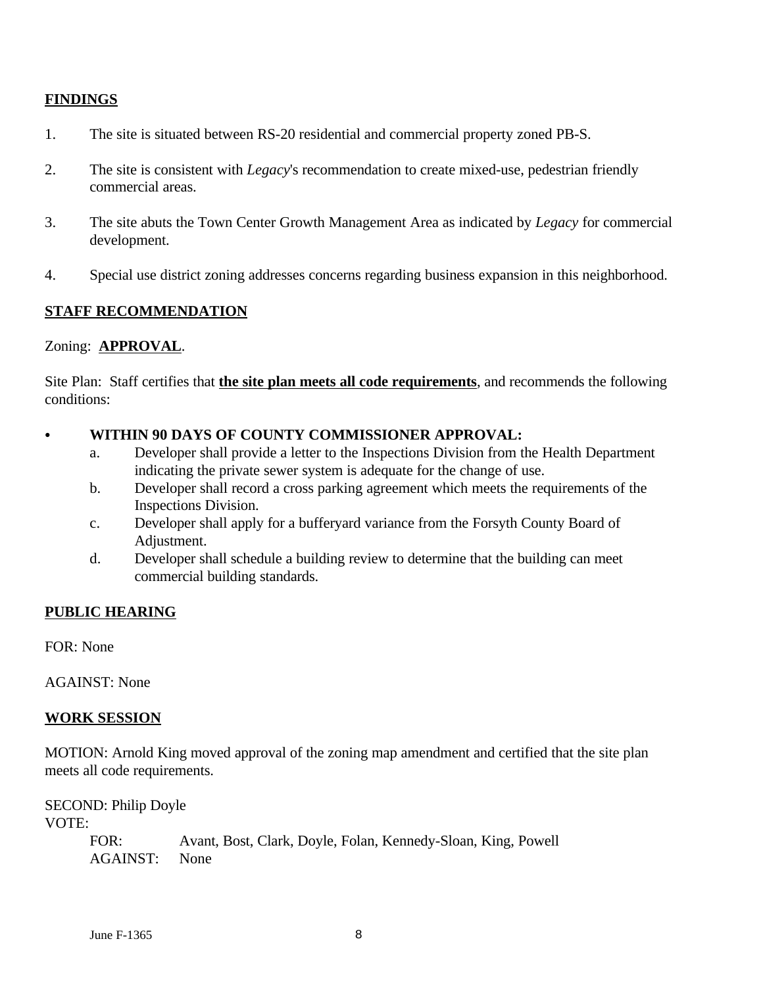# **FINDINGS**

- 1. The site is situated between RS-20 residential and commercial property zoned PB-S.
- 2. The site is consistent with *Legacy*'s recommendation to create mixed-use, pedestrian friendly commercial areas.
- 3. The site abuts the Town Center Growth Management Area as indicated by *Legacy* for commercial development.
- 4. Special use district zoning addresses concerns regarding business expansion in this neighborhood.

## **STAFF RECOMMENDATION**

## Zoning: **APPROVAL**.

Site Plan: Staff certifies that **the site plan meets all code requirements**, and recommends the following conditions:

- WITHIN 90 DAYS OF COUNTY COMMISSIONER APPROVAL:
	- a. Developer shall provide a letter to the Inspections Division from the Health Department indicating the private sewer system is adequate for the change of use.
	- b. Developer shall record a cross parking agreement which meets the requirements of the Inspections Division.
	- c. Developer shall apply for a bufferyard variance from the Forsyth County Board of Adjustment.
	- d. Developer shall schedule a building review to determine that the building can meet commercial building standards.

# **PUBLIC HEARING**

FOR: None

AGAINST: None

#### **WORK SESSION**

MOTION: Arnold King moved approval of the zoning map amendment and certified that the site plan meets all code requirements.

SECOND: Philip Doyle VOTE:

> FOR: Avant, Bost, Clark, Doyle, Folan, Kennedy-Sloan, King, Powell AGAINST: None